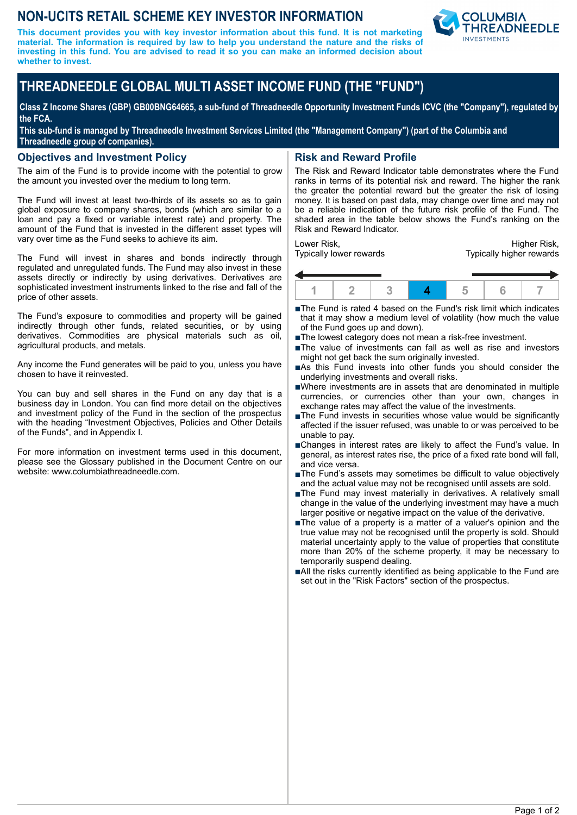# **NON-UCITS RETAIL SCHEME KEY INVESTOR INFORMATION**

**This document provides you with key investor information about this fund. It is not marketing material. The information is required by law to help you understand the nature and the risks of investing in this fund. You are advised to read it so you can make an informed decision about whether to invest.**



# **THREADNEEDLE GLOBAL MULTI ASSET INCOME FUND (THE "FUND")**

**Class Z Income Shares (GBP) GB00BNG64665, a sub-fund of Threadneedle Opportunity Investment Funds ICVC (the "Company"), regulated by the FCA.**

**This sub-fund is managed by Threadneedle Investment Services Limited (the "Management Company") (part of the Columbia and Threadneedle group of companies).**

#### **Objectives and Investment Policy**

The aim of the Fund is to provide income with the potential to grow the amount you invested over the medium to long term.

The Fund will invest at least two-thirds of its assets so as to gain global exposure to company shares, bonds (which are similar to a loan and pay a fixed or variable interest rate) and property. The amount of the Fund that is invested in the different asset types will vary over time as the Fund seeks to achieve its aim.

The Fund will invest in shares and bonds indirectly through regulated and unregulated funds. The Fund may also invest in these assets directly or indirectly by using derivatives. Derivatives are sophisticated investment instruments linked to the rise and fall of the price of other assets.

The Fund's exposure to commodities and property will be gained indirectly through other funds, related securities, or by using derivatives. Commodities are physical materials such as oil, agricultural products, and metals.

Any income the Fund generates will be paid to you, unless you have chosen to have it reinvested.

You can buy and sell shares in the Fund on any day that is a business day in London. You can find more detail on the objectives and investment policy of the Fund in the section of the prospectus with the heading "Investment Objectives, Policies and Other Details of the Funds", and in Appendix I.

For more information on investment terms used in this document, please see the Glossary published in the Document Centre on our website: www.columbiathreadneedle.com.

## **Risk and Reward Profile**

The Risk and Reward Indicator table demonstrates where the Fund ranks in terms of its potential risk and reward. The higher the rank the greater the potential reward but the greater the risk of losing money. It is based on past data, may change over time and may not be a reliable indication of the future risk profile of the Fund. The shaded area in the table below shows the Fund's ranking on the Risk and Reward Indicator.

Lower Risk, Typically lower rewards

Higher Risk, Typically higher rewards



- ■The Fund is rated 4 based on the Fund's risk limit which indicates that it may show a medium level of volatility (how much the value of the Fund goes up and down).
- The lowest category does not mean a risk-free investment.
- The value of investments can fall as well as rise and investors might not get back the sum originally invested.
- ■As this Fund invests into other funds you should consider the underlying investments and overall risks.
- nWhere investments are in assets that are denominated in multiple currencies, or currencies other than your own, changes in exchange rates may affect the value of the investments.
- ■The Fund invests in securities whose value would be significantly affected if the issuer refused, was unable to or was perceived to be unable to pay.
- ■Changes in interest rates are likely to affect the Fund's value. In general, as interest rates rise, the price of a fixed rate bond will fall, and vice versa.
- ■The Fund's assets may sometimes be difficult to value objectively and the actual value may not be recognised until assets are sold.
- ■The Fund may invest materially in derivatives. A relatively small change in the value of the underlying investment may have a much larger positive or negative impact on the value of the derivative.
- nThe value of a property is a matter of a valuer's opinion and the true value may not be recognised until the property is sold. Should material uncertainty apply to the value of properties that constitute more than 20% of the scheme property, it may be necessary to temporarily suspend dealing.
- ■All the risks currently identified as being applicable to the Fund are set out in the "Risk Factors" section of the prospectus.